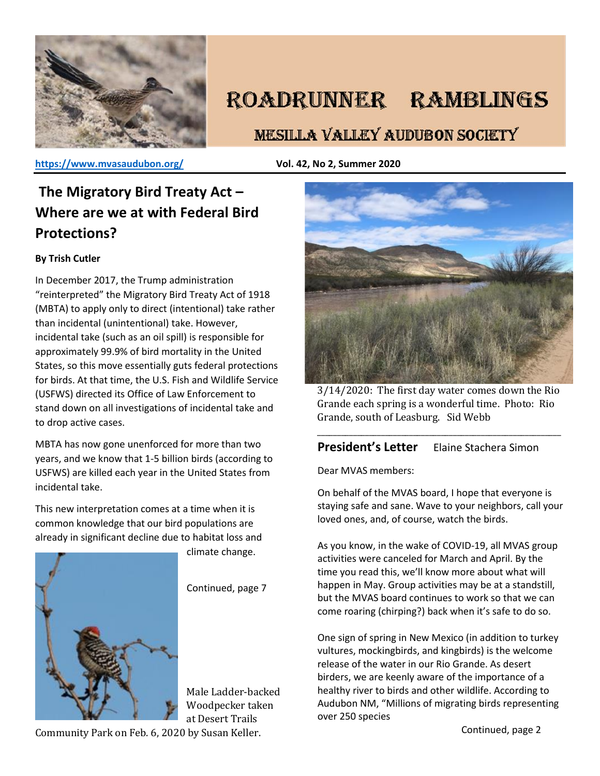

# ROADRUNNER RAMBLINGS

## **MESILLA VALLEY AUDUBON SOCIETY**

**<https://www.mvasaudubon.org/>Vol. 42, No 2, Summer 2020** 

## **The Migratory Bird Treaty Act – Where are we at with Federal Bird Protections?**

### **By Trish Cutler**

In December 2017, the Trump administration "reinterpreted" the Migratory Bird Treaty Act of 1918 (MBTA) to apply only to direct (intentional) take rather than incidental (unintentional) take. However, incidental take (such as an oil spill) is responsible for approximately 99.9% of bird mortality in the United States, so this move essentially guts federal protections for birds. At that time, the U.S. Fish and Wildlife Service (USFWS) directed its Office of Law Enforcement to stand down on all investigations of incidental take and to drop active cases.

MBTA has now gone unenforced for more than two years, and we know that 1-5 billion birds (according to USFWS) are killed each year in the United States from incidental take.

This new interpretation comes at a time when it is common knowledge that our bird populations are already in significant decline due to habitat loss and



climate change.

Continued, page 7

Male Ladder-backed Woodpecker taken at Desert Trails

Community Park on Feb. 6, 2020 by Susan Keller.



3/14/2020: The first day water comes down the Rio Grande each spring is a wonderful time. Photo: Rio Grande, south of Leasburg. Sid Webb

\_\_\_\_\_\_\_\_\_\_\_\_\_\_\_\_\_\_\_\_\_\_\_\_\_\_\_\_\_\_\_\_\_\_\_\_\_\_\_\_\_\_\_\_\_\_\_\_\_\_\_\_\_\_\_\_\_\_\_\_\_

## **President's Letter** Elaine Stachera Simon

Dear MVAS members:

On behalf of the MVAS board, I hope that everyone is staying safe and sane. Wave to your neighbors, call your loved ones, and, of course, watch the birds.

As you know, in the wake of COVID-19, all MVAS group activities were canceled for March and April. By the time you read this, we'll know more about what will happen in May. Group activities may be at a standstill, but the MVAS board continues to work so that we can come roaring (chirping?) back when it's safe to do so.

One sign of spring in New Mexico (in addition to turkey vultures, mockingbirds, and kingbirds) is the welcome release of the water in our Rio Grande. As desert birders, we are keenly aware of the importance of a healthy river to birds and other wildlife. According to Audubon NM, "Millions of migrating birds representing over 250 species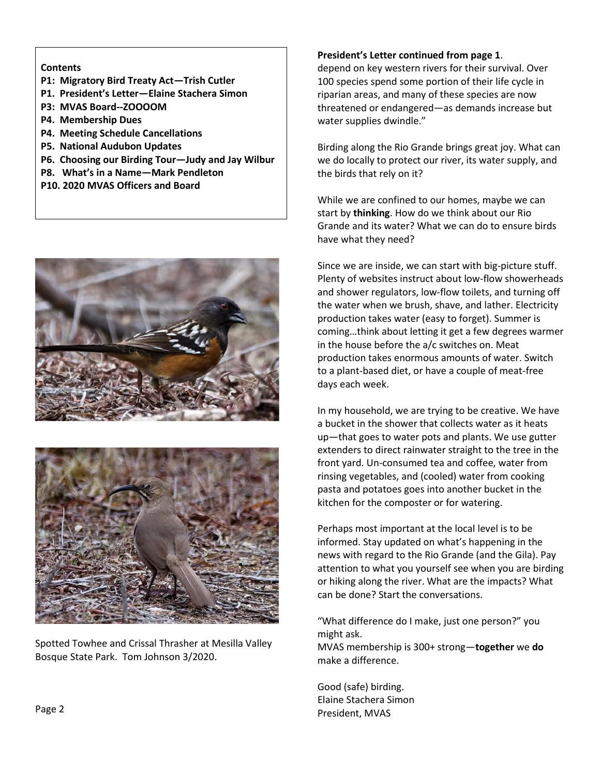### **Contents**

- **P1: Migratory Bird Treaty Act—Trish Cutler**
- **P1. President's Letter—Elaine Stachera Simon**
- **P3: MVAS Board--ZOOOOM**
- **P4. Membership Dues**
- **P4. Meeting Schedule Cancellations**
- **P5. National Audubon Updates**
- **P6. Choosing our Birding Tour—Judy and Jay Wilbur**
- **P8. What's in a Name—Mark Pendleton**
- **P10. 2020 MVAS Officers and Board**





Spotted Towhee and Crissal Thrasher at Mesilla Valley Bosque State Park. Tom Johnson 3/2020.

#### **President's Letter continued from page 1**.

depend on key western rivers for their survival. Over 100 species spend some portion of their life cycle in riparian areas, and many of these species are now threatened or endangered—as demands increase but water supplies dwindle."

Birding along the Rio Grande brings great joy. What can we do locally to protect our river, its water supply, and the birds that rely on it?

While we are confined to our homes, maybe we can start by **thinking**. How do we think about our Rio Grande and its water? What we can do to ensure birds have what they need?

Since we are inside, we can start with big-picture stuff. Plenty of websites instruct about low-flow showerheads and shower regulators, low-flow toilets, and turning off the water when we brush, shave, and lather. Electricity production takes water (easy to forget). Summer is coming…think about letting it get a few degrees warmer in the house before the a/c switches on. Meat production takes enormous amounts of water. Switch to a plant-based diet, or have a couple of meat-free days each week.

In my household, we are trying to be creative. We have a bucket in the shower that collects water as it heats up—that goes to water pots and plants. We use gutter extenders to direct rainwater straight to the tree in the front yard. Un-consumed tea and coffee, water from rinsing vegetables, and (cooled) water from cooking pasta and potatoes goes into another bucket in the kitchen for the composter or for watering.

Perhaps most important at the local level is to be informed. Stay updated on what's happening in the news with regard to the Rio Grande (and the Gila). Pay attention to what you yourself see when you are birding or hiking along the river. What are the impacts? What can be done? Start the conversations.

"What difference do I make, just one person?" you might ask.

MVAS membership is 300+ strong—**together** we **do** make a difference.

Good (safe) birding. Elaine Stachera Simon President, MVAS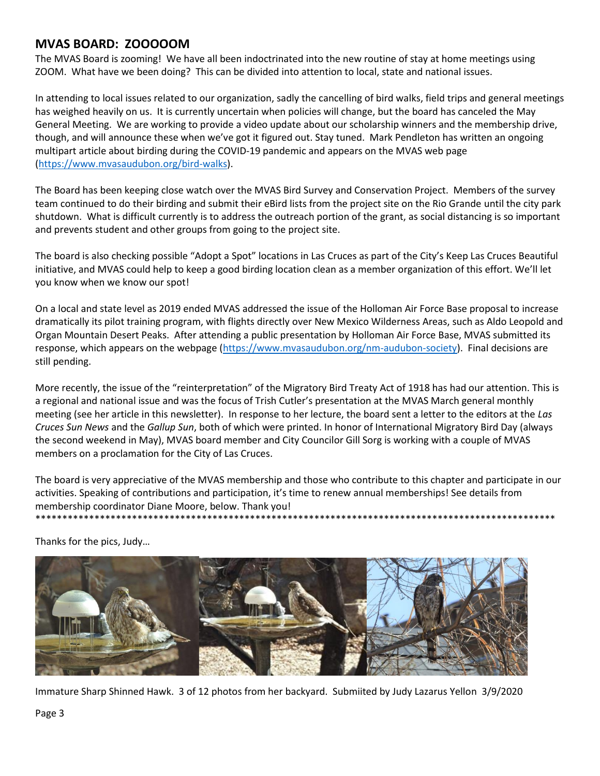## **MVAS BOARD: ZOOOOOM**

The MVAS Board is zooming! We have all been indoctrinated into the new routine of stay at home meetings using ZOOM. What have we been doing? This can be divided into attention to local, state and national issues.

In attending to local issues related to our organization, sadly the cancelling of bird walks, field trips and general meetings has weighed heavily on us. It is currently uncertain when policies will change, but the board has canceled the May General Meeting. We are working to provide a video update about our scholarship winners and the membership drive, though, and will announce these when we've got it figured out. Stay tuned. Mark Pendleton has written an ongoing multipart article about birding during the COVID-19 pandemic and appears on the MVAS web page [\(https://www.mvasaudubon.org/bird-walks\)](about:blank).

The Board has been keeping close watch over the MVAS Bird Survey and Conservation Project. Members of the survey team continued to do their birding and submit their eBird lists from the project site on the Rio Grande until the city park shutdown. What is difficult currently is to address the outreach portion of the grant, as social distancing is so important and prevents student and other groups from going to the project site.

The board is also checking possible "Adopt a Spot" locations in Las Cruces as part of the City's Keep Las Cruces Beautiful initiative, and MVAS could help to keep a good birding location clean as a member organization of this effort. We'll let you know when we know our spot!

On a local and state level as 2019 ended MVAS addressed the issue of the Holloman Air Force Base proposal to increase dramatically its pilot training program, with flights directly over New Mexico Wilderness Areas, such as Aldo Leopold and Organ Mountain Desert Peaks. After attending a public presentation by Holloman Air Force Base, MVAS submitted its response, which appears on the webpage [\(https://www.mvasaudubon.org/nm-audubon-society\)](about:blank). Final decisions are still pending.

More recently, the issue of the "reinterpretation" of the Migratory Bird Treaty Act of 1918 has had our attention. This is a regional and national issue and was the focus of Trish Cutler's presentation at the MVAS March general monthly meeting (see her article in this newsletter). In response to her lecture, the board sent a letter to the editors at the *Las Cruces Sun News* and the *Gallup Sun*, both of which were printed. In honor of International Migratory Bird Day (always the second weekend in May), MVAS board member and City Councilor Gill Sorg is working with a couple of MVAS members on a proclamation for the City of Las Cruces.

The board is very appreciative of the MVAS membership and those who contribute to this chapter and participate in our activities. Speaking of contributions and participation, it's time to renew annual memberships! See details from membership coordinator Diane Moore, below. Thank you! \*\*\*\*\*\*\*\*\*\*\*\*\*\*\*\*\*\*\*\*\*\*\*\*\*\*\*\*\*\*\*\*\*\*\*\*\*\*\*\*\*\*\*\*\*\*\*\*\*\*\*\*\*\*\*\*\*\*\*\*\*\*\*\*\*\*\*\*\*\*\*\*\*\*\*\*\*\*\*\*\*\*\*\*\*\*\*\*\*\*\*\*\*\*\*\*\*

Thanks for the pics, Judy…



Immature Sharp Shinned Hawk. 3 of 12 photos from her backyard. Submiited by Judy Lazarus Yellon 3/9/2020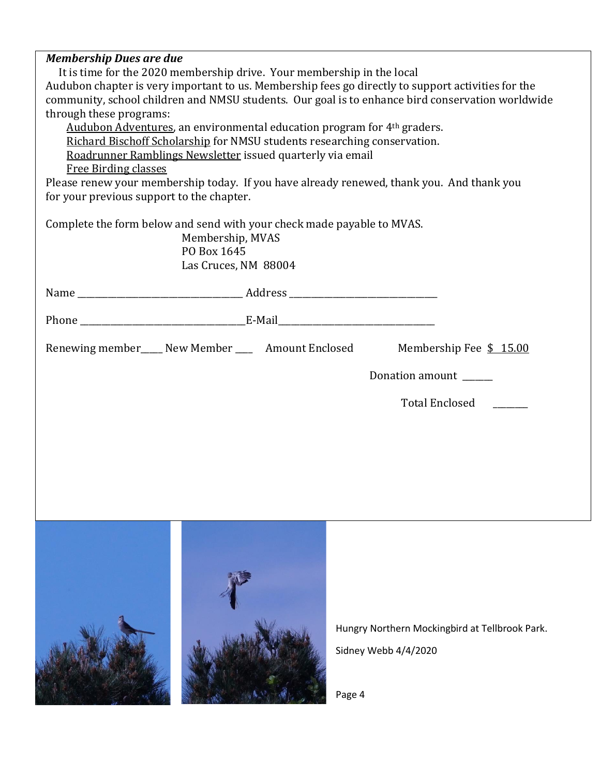#### *Membership Dues are due*

 It is time for the 2020 membership drive. Your membership in the local Audubon chapter is very important to us. Membership fees go directly to support activities for the community, school children and NMSU students. Our goal is to enhance bird conservation worldwide through these programs:

Audubon Adventures, an environmental education program for 4<sup>th</sup> graders. Richard Bischoff Scholarship for NMSU students researching conservation. Roadrunner Ramblings Newsletter issued quarterly via email

Free Birding classes

Please renew your membership today. If you have already renewed, thank you. And thank you for your previous support to the chapter.

Complete the form below and send with your check made payable to MVAS.

Membership, MVAS PO Box 1645 Las Cruces, NM 88004

| Name                                                |                         |
|-----------------------------------------------------|-------------------------|
|                                                     |                         |
| Renewing member____ New Member ____ Amount Enclosed | Membership Fee \$ 15.00 |
|                                                     | Donation amount         |

Total Enclosed \_\_\_\_\_\_\_\_



Hungry Northern Mockingbird at Tellbrook Park. Sidney Webb 4/4/2020

Page 4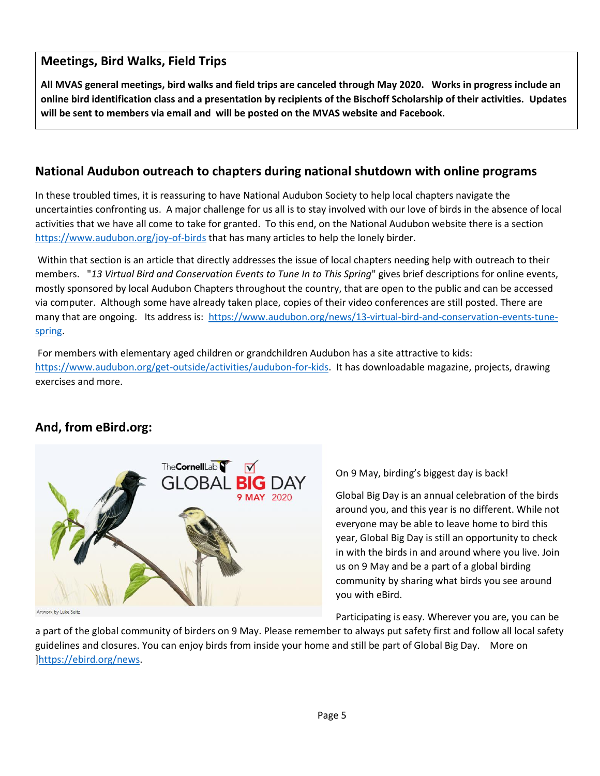## **Meetings, Bird Walks, Field Trips**

**All MVAS general meetings, bird walks and field trips are canceled through May 2020. Works in progress include an online bird identification class and a presentation by recipients of the Bischoff Scholarship of their activities. Updates will be sent to members via email and will be posted on [the](https://www.mvasaudubon.org/) MVAS website and Facebook.**

## **National Audubon outreach to chapters during national shutdown with online programs**

In these troubled times, it is reassuring to have National Audubon Society to help local chapters navigate the uncertainties confronting us. A major challenge for us all is to stay involved with our love of birds in the absence of local activities that we have all come to take for granted. To this end, on the National Audubon website there is a section <https://www.audubon.org/joy-of-birds> that has many articles to help the lonely birder.

Within that section is an article that directly addresses the issue of local chapters needing help with outreach to their members. "*13 Virtual Bird and Conservation Events to Tune In to This Spring*" gives brief descriptions for online events, mostly sponsored by local Audubon Chapters throughout the country, that are open to the public and can be accessed via computer. Although some have already taken place, copies of their video conferences are still posted. There are many that are ongoing. Its address is: [https://www.audubon.org/news/13-virtual-bird-and-conservation-events-tune](https://www.audubon.org/news/13-virtual-bird-and-conservation-events-tune-spring)[spring.](https://www.audubon.org/news/13-virtual-bird-and-conservation-events-tune-spring)

For members with elementary aged children or grandchildren Audubon has a site attractive to kids: [https://www.audubon.org/get-outside/activities/audubon-for-kids.](https://www.audubon.org/get-outside/activities/audubon-for-kids) It has downloadable magazine, projects, drawing exercises and more.

## **And, from eBird.org:**



work by Luke Seitz

On 9 May, birding's biggest day is back!

Global Big Day is an annual celebration of the birds around you, and this year is no different. While not everyone may be able to leave home to bird this year, Global Big Day is still an opportunity to check in with the birds in and around where you live. Join us on 9 May and be a part of a global birding community by sharing what birds you see around you with eBird.

Participating is easy. Wherever you are, you can be

a part of the global community of birders on 9 May. Please remember to always put safety first and follow all local safety guidelines and closures. You can enjoy birds from inside your home and still be part of Global Big Day. More on [\]https://ebird.org/news.](https://ebird.org/news)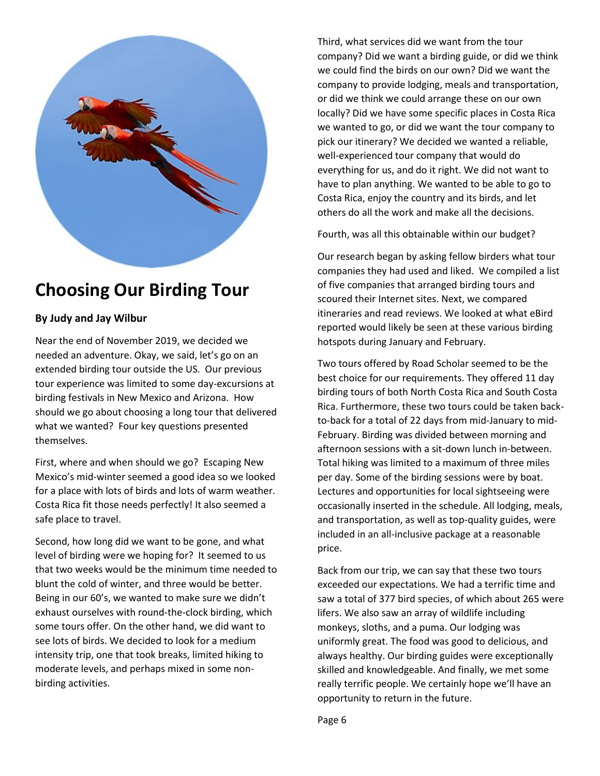

## **Choosing Our Birding Tour**

## **By Judy and Jay Wilbur**

Near the end of November 2019, we decided we needed an adventure. Okay, we said, let's go on an extended birding tour outside the US. Our previous tour experience was limited to some day-excursions at birding festivals in New Mexico and Arizona. How should we go about choosing a long tour that delivered what we wanted? Four key questions presented themselves.

First, where and when should we go? Escaping New Mexico's mid-winter seemed a good idea so we looked for a place with lots of birds and lots of warm weather. Costa Rica fit those needs perfectly! It also seemed a safe place to travel.

Second, how long did we want to be gone, and what level of birding were we hoping for? It seemed to us that two weeks would be the minimum time needed to blunt the cold of winter, and three would be better. Being in our 60's, we wanted to make sure we didn't exhaust ourselves with round-the-clock birding, which some tours offer. On the other hand, we did want to see lots of birds. We decided to look for a medium intensity trip, one that took breaks, limited hiking to moderate levels, and perhaps mixed in some nonbirding activities.

Third, what services did we want from the tour company? Did we want a birding guide, or did we think we could find the birds on our own? Did we want the company to provide lodging, meals and transportation, or did we think we could arrange these on our own locally? Did we have some specific places in Costa Rica we wanted to go, or did we want the tour company to pick our itinerary? We decided we wanted a reliable, well-experienced tour company that would do everything for us, and do it right. We did not want to have to plan anything. We wanted to be able to go to Costa Rica, enjoy the country and its birds, and let others do all the work and make all the decisions.

Fourth, was all this obtainable within our budget?

Our research began by asking fellow birders what tour companies they had used and liked. We compiled a list of five companies that arranged birding tours and scoured their Internet sites. Next, we compared itineraries and read reviews. We looked at what eBird reported would likely be seen at these various birding hotspots during January and February.

Two tours offered by Road Scholar seemed to be the best choice for our requirements. They offered 11 day birding tours of both North Costa Rica and South Costa Rica. Furthermore, these two tours could be taken backto-back for a total of 22 days from mid-January to mid-February. Birding was divided between morning and afternoon sessions with a sit-down lunch in-between. Total hiking was limited to a maximum of three miles per day. Some of the birding sessions were by boat. Lectures and opportunities for local sightseeing were occasionally inserted in the schedule. All lodging, meals, and transportation, as well as top-quality guides, were included in an all-inclusive package at a reasonable price.

Back from our trip, we can say that these two tours exceeded our expectations. We had a terrific time and saw a total of 377 bird species, of which about 265 were lifers. We also saw an array of wildlife including monkeys, sloths, and a puma. Our lodging was uniformly great. The food was good to delicious, and always healthy. Our birding guides were exceptionally skilled and knowledgeable. And finally, we met some really terrific people. We certainly hope we'll have an opportunity to return in the future.

Page 6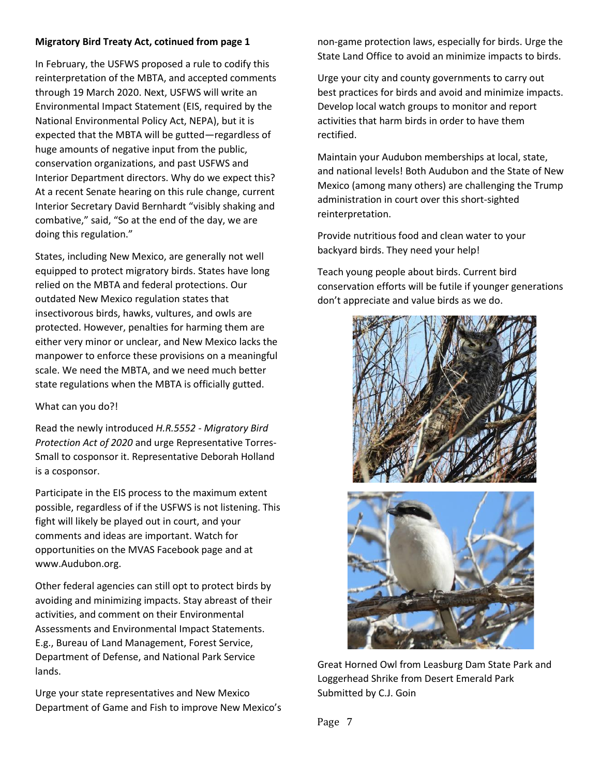#### **Migratory Bird Treaty Act, cotinued from page 1**

In February, the USFWS proposed a rule to codify this reinterpretation of the MBTA, and accepted comments through 19 March 2020. Next, USFWS will write an Environmental Impact Statement (EIS, required by the National Environmental Policy Act, NEPA), but it is expected that the MBTA will be gutted—regardless of huge amounts of negative input from the public, conservation organizations, and past USFWS and Interior Department directors. Why do we expect this? At a recent Senate hearing on this rule change, current Interior Secretary David Bernhardt "visibly shaking and combative," said, "So at the end of the day, we are doing this regulation."

States, including New Mexico, are generally not well equipped to protect migratory birds. States have long relied on the MBTA and federal protections. Our outdated New Mexico regulation states that insectivorous birds, hawks, vultures, and owls are protected. However, penalties for harming them are either very minor or unclear, and New Mexico lacks the manpower to enforce these provisions on a meaningful scale. We need the MBTA, and we need much better state regulations when the MBTA is officially gutted.

#### What can you do?!

Read the newly introduced *H.R.5552 - Migratory Bird Protection Act of 2020* and urge Representative Torres-Small to cosponsor it. Representative Deborah Holland is a cosponsor.

Participate in the EIS process to the maximum extent possible, regardless of if the USFWS is not listening. This fight will likely be played out in court, and your comments and ideas are important. Watch for opportunities on the MVAS Facebook page and at www.Audubon.org.

Other federal agencies can still opt to protect birds by avoiding and minimizing impacts. Stay abreast of their activities, and comment on their Environmental Assessments and Environmental Impact Statements. E.g., Bureau of Land Management, Forest Service, Department of Defense, and National Park Service lands.

Urge your state representatives and New Mexico Department of Game and Fish to improve New Mexico's non-game protection laws, especially for birds. Urge the State Land Office to avoid an minimize impacts to birds.

Urge your city and county governments to carry out best practices for birds and avoid and minimize impacts. Develop local watch groups to monitor and report activities that harm birds in order to have them rectified.

Maintain your Audubon memberships at local, state, and national levels! Both Audubon and the State of New Mexico (among many others) are challenging the Trump administration in court over this short-sighted reinterpretation.

Provide nutritious food and clean water to your backyard birds. They need your help!

Teach young people about birds. Current bird conservation efforts will be futile if younger generations don't appreciate and value birds as we do.



Great Horned Owl from Leasburg Dam State Park and Loggerhead Shrike from Desert Emerald Park Submitted by C.J. Goin

Page 7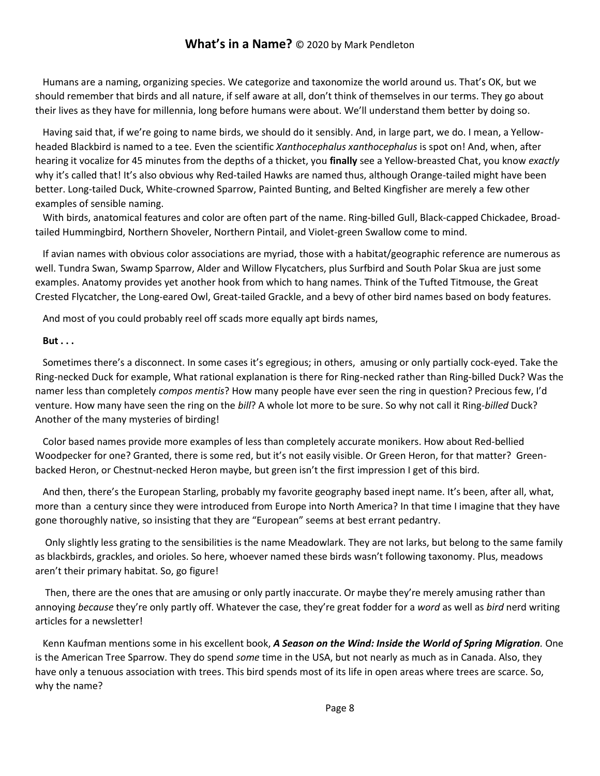## **What's in a Name?** © 2020 by Mark Pendleton

 Humans are a naming, organizing species. We categorize and taxonomize the world around us. That's OK, but we should remember that birds and all nature, if self aware at all, don't think of themselves in our terms. They go about their lives as they have for millennia, long before humans were about. We'll understand them better by doing so.

 Having said that, if we're going to name birds, we should do it sensibly. And, in large part, we do. I mean, a Yellowheaded Blackbird is named to a tee. Even the scientific *Xanthocephalus xanthocephalus* is spot on! And, when, after hearing it vocalize for 45 minutes from the depths of a thicket, you **finally** see a Yellow-breasted Chat, you know *exactly* why it's called that! It's also obvious why Red-tailed Hawks are named thus, although Orange-tailed might have been better. Long-tailed Duck, White-crowned Sparrow, Painted Bunting, and Belted Kingfisher are merely a few other examples of sensible naming.

 With birds, anatomical features and color are often part of the name. Ring-billed Gull, Black-capped Chickadee, Broadtailed Hummingbird, Northern Shoveler, Northern Pintail, and Violet-green Swallow come to mind.

 If avian names with obvious color associations are myriad, those with a habitat/geographic reference are numerous as well. Tundra Swan, Swamp Sparrow, Alder and Willow Flycatchers, plus Surfbird and South Polar Skua are just some examples. Anatomy provides yet another hook from which to hang names. Think of the Tufted Titmouse, the Great Crested Flycatcher, the Long-eared Owl, Great-tailed Grackle, and a bevy of other bird names based on body features.

And most of you could probably reel off scads more equally apt birds names,

#### **But . . .**

Sometimes there's a disconnect. In some cases it's egregious; in others, amusing or only partially cock-eyed. Take the Ring-necked Duck for example, What rational explanation is there for Ring-necked rather than Ring-billed Duck? Was the namer less than completely *compos mentis*? How many people have ever seen the ring in question? Precious few, I'd venture. How many have seen the ring on the *bill*? A whole lot more to be sure. So why not call it Ring-*billed* Duck? Another of the many mysteries of birding!

 Color based names provide more examples of less than completely accurate monikers. How about Red-bellied Woodpecker for one? Granted, there is some red, but it's not easily visible. Or Green Heron, for that matter? Greenbacked Heron, or Chestnut-necked Heron maybe, but green isn't the first impression I get of this bird.

 And then, there's the European Starling, probably my favorite geography based inept name. It's been, after all, what, more than a century since they were introduced from Europe into North America? In that time I imagine that they have gone thoroughly native, so insisting that they are "European" seems at best errant pedantry.

 Only slightly less grating to the sensibilities is the name Meadowlark. They are not larks, but belong to the same family as blackbirds, grackles, and orioles. So here, whoever named these birds wasn't following taxonomy. Plus, meadows aren't their primary habitat. So, go figure!

 Then, there are the ones that are amusing or only partly inaccurate. Or maybe they're merely amusing rather than annoying *because* they're only partly off. Whatever the case, they're great fodder for a *word* as well as *bird* nerd writing articles for a newsletter!

 Kenn Kaufman mentions some in his excellent book, *A Season on the Wind: Inside the World of Spring Migration.* One is the American Tree Sparrow. They do spend *some* time in the USA, but not nearly as much as in Canada. Also, they have only a tenuous association with trees. This bird spends most of its life in open areas where trees are scarce. So, why the name?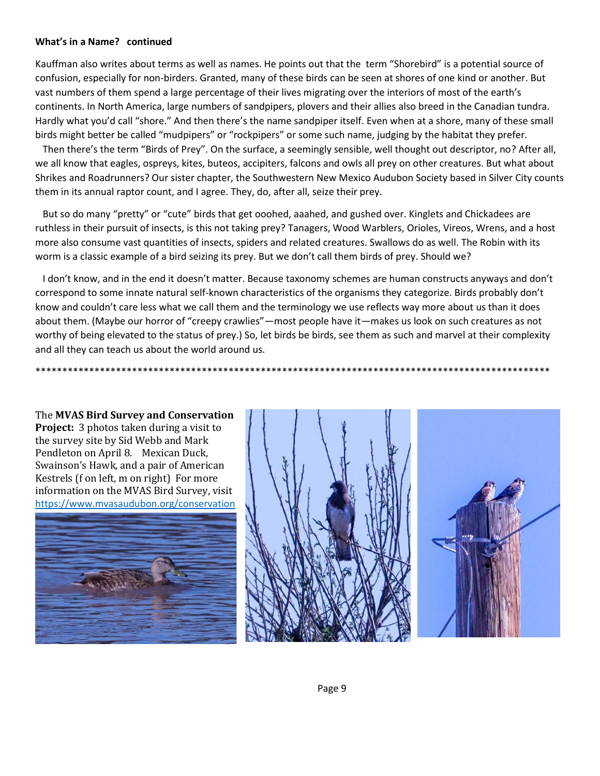#### **What's in a Name? continued**

Kauffman also writes about terms as well as names. He points out that the term "Shorebird" is a potential source of confusion, especially for non-birders. Granted, many of these birds can be seen at shores of one kind or another. But vast numbers of them spend a large percentage of their lives migrating over the interiors of most of the earth's continents. In North America, large numbers of sandpipers, plovers and their allies also breed in the Canadian tundra. Hardly what you'd call "shore." And then there's the name sandpiper itself. Even when at a shore, many of these small birds might better be called "mudpipers" or "rockpipers" or some such name, judging by the habitat they prefer.

 Then there's the term "Birds of Prey". On the surface, a seemingly sensible, well thought out descriptor, no? After all, we all know that eagles, ospreys, kites, buteos, accipiters, falcons and owls all prey on other creatures. But what about Shrikes and Roadrunners? Our sister chapter, the Southwestern New Mexico Audubon Society based in Silver City counts them in its annual raptor count, and I agree. They, do, after all, seize their prey.

 But so do many "pretty" or "cute" birds that get ooohed, aaahed, and gushed over. Kinglets and Chickadees are ruthless in their pursuit of insects, is this not taking prey? Tanagers, Wood Warblers, Orioles, Vireos, Wrens, and a host more also consume vast quantities of insects, spiders and related creatures. Swallows do as well. The Robin with its worm is a classic example of a bird seizing its prey. But we don't call them birds of prey. Should we?

 I don't know, and in the end it doesn't matter. Because taxonomy schemes are human constructs anyways and don't correspond to some innate natural self-known characteristics of the organisms they categorize. Birds probably don't know and couldn't care less what we call them and the terminology we use reflects way more about us than it does about them. (Maybe our horror of "creepy crawlies"—most people have it—makes us look on such creatures as not worthy of being elevated to the status of prey.) So, let birds be birds, see them as such and marvel at their complexity and all they can teach us about the world around us.

The **MVAS Bird Survey and Conservation Project:** 3 photos taken during a visit to the survey site by Sid Webb and Mark Pendleton on April 8. Mexican Duck, Swainson's Hawk, and a pair of American Kestrels (f on left, m on right) For more information on the MVAS Bird Survey, visit <https://www.mvasaudubon.org/conservation>





\*\*\*\*\*\*\*\*\*\*\*\*\*\*\*\*\*\*\*\*\*\*\*\*\*\*\*\*\*\*\*\*\*\*\*\*\*\*\*\*\*\*\*\*\*\*\*\*\*\*\*\*\*\*\*\*\*\*\*\*\*\*\*\*\*\*\*\*\*\*\*\*\*\*\*\*\*\*\*\*\*\*\*\*\*\*\*\*\*\*\*\*\*\*\*\*